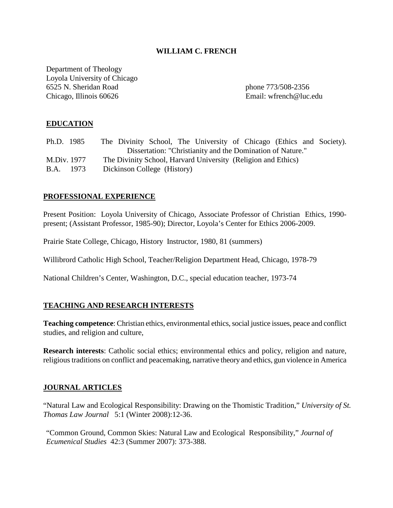# **WILLIAM C. FRENCH**

Department of Theology Loyola University of Chicago 6525 N. Sheridan Road phone 773/508-2356 Chicago, Illinois 60626 Email: wfrench@luc.edu

# **EDUCATION**

| Ph.D. 1985  | The Divinity School, The University of Chicago (Ethics and Society). |
|-------------|----------------------------------------------------------------------|
|             | Dissertation: "Christianity and the Domination of Nature."           |
| M.Div. 1977 | The Divinity School, Harvard University (Religion and Ethics)        |
| B.A. 1973   | Dickinson College (History)                                          |

# **PROFESSIONAL EXPERIENCE**

Present Position: Loyola University of Chicago, Associate Professor of Christian Ethics, 1990 present; (Assistant Professor, 1985-90); Director, Loyola's Center for Ethics 2006-2009.

Prairie State College, Chicago, History Instructor, 1980, 81 (summers)

Willibrord Catholic High School, Teacher/Religion Department Head, Chicago, 1978-79

National Children's Center, Washington, D.C., special education teacher, 1973-74

# **TEACHING AND RESEARCH INTERESTS**

**Teaching competence**: Christian ethics, environmental ethics, social justice issues, peace and conflict studies, and religion and culture,

**Research interests**: Catholic social ethics; environmental ethics and policy, religion and nature, religious traditions on conflict and peacemaking, narrative theory and ethics, gun violence in America

# **JOURNAL ARTICLES**

"Natural Law and Ecological Responsibility: Drawing on the Thomistic Tradition," *University of St. Thomas Law Journal* 5:1 (Winter 2008):12-36.

"Common Ground, Common Skies: Natural Law and Ecological Responsibility," *Journal of Ecumenical Studies* 42:3 (Summer 2007): 373-388.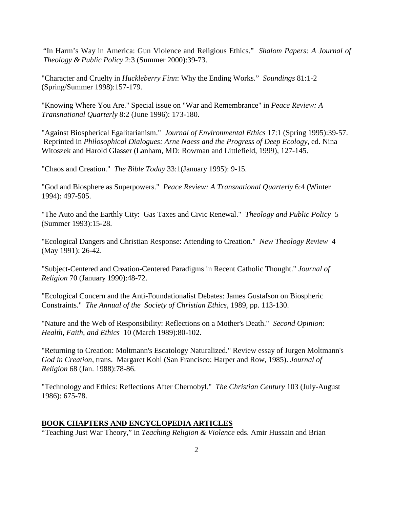"In Harm's Way in America: Gun Violence and Religious Ethics." *Shalom Papers: A Journal of Theology & Public Policy* 2:3 (Summer 2000):39-73.

"Character and Cruelty in *Huckleberry Finn*: Why the Ending Works." *Soundings* 81:1-2 (Spring/Summer 1998):157-179*.* 

"Knowing Where You Are." Special issue on "War and Remembrance" in *Peace Review: A Transnational Quarterly* 8:2 (June 1996): 173-180.

"Against Biospherical Egalitarianism." *Journal of Environmental Ethics* 17:1 (Spring 1995):39-57. Reprinted in *Philosophical Dialogues: Arne Naess and the Progress of Deep Ecology*, ed. Nina Witoszek and Harold Glasser (Lanham, MD: Rowman and Littlefield, 1999), 127-145.

"Chaos and Creation." *The Bible Today* 33:1(January 1995): 9-15.

"God and Biosphere as Superpowers." *Peace Review: A Transnational Quarterly* 6:4 (Winter 1994): 497-505.

"The Auto and the Earthly City: Gas Taxes and Civic Renewal." *Theology and Public Policy* 5 (Summer 1993):15-28.

"Ecological Dangers and Christian Response: Attending to Creation." *New Theology Review* 4 (May 1991): 26-42.

"Subject-Centered and Creation-Centered Paradigms in Recent Catholic Thought." *Journal of Religion* 70 (January 1990):48-72.

"Ecological Concern and the Anti-Foundationalist Debates: James Gustafson on Biospheric Constraints." *The Annual of the Society of Christian Ethics*, 1989, pp. 113-130.

"Nature and the Web of Responsibility: Reflections on a Mother's Death." *Second Opinion: Health, Faith, and Ethics* 10 (March 1989):80-102.

"Returning to Creation: Moltmann's Escatology Naturalized." Review essay of Jurgen Moltmann's *God in Creation*, trans. Margaret Kohl (San Francisco: Harper and Row, 1985). *Journal of Religion* 68 (Jan. 1988):78-86.

"Technology and Ethics: Reflections After Chernobyl." *The Christian Century* 103 (July-August 1986): 675-78.

# **BOOK CHAPTERS AND ENCYCLOPEDIA ARTICLES**

"Teaching Just War Theory," in *Teaching Religion & Violence* eds. Amir Hussain and Brian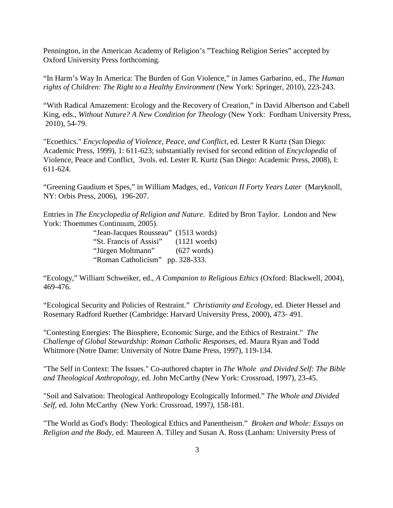Pennington, in the American Academy of Religion's "Teaching Religion Series" accepted by Oxford University Press forthcoming.

"In Harm's Way In America: The Burden of Gun Violence," in James Garbarino, ed., *The Human rights of Children: The Right to a Healthy Environment* (New York: Springer, 2010), 223-243.

"With Radical Amazement: Ecology and the Recovery of Creation," in David Albertson and Cabell King, eds., *Without Nature? A New Condition for Theology* (New York: Fordham University Press, 2010), 54-79.

"Ecoethics." *Encyclopedia of Violence, Peace, and Conflict*, ed. Lester R Kurtz (San Diego: Academic Press, 1999), 1: 611-623; substantially revised for second edition of *Encyclopedia* of Violence, Peace and Conflict, 3vols. ed. Lester R. Kurtz (San Diego: Academic Press, 2008), I: 611-624.

"Greening Gaudium et Spes," in William Madges, ed., *Vatican II Forty Years Later* (Maryknoll, NY: Orbis Press, 2006), 196-207.

Entries in *The Encyclopedia of Religion and Nature*. Edited by Bron Taylor. London and New York: Thoemmes Continuum, 2005).

| "Jean-Jacques Rousseau" (1513 words) |                       |
|--------------------------------------|-----------------------|
| "St. Francis of Assisi" (1121 words) |                       |
| "Jürgen Moltmann"                    | $(627 \text{ words})$ |
| "Roman Catholicism" pp. 328-333.     |                       |

"Ecology," William Schweiker, ed., *A Companion to Religious Ethics* (Oxford: Blackwell, 2004), 469-476.

"Ecological Security and Policies of Restraint." *Christianity and Ecology*, ed. Dieter Hessel and Rosemary Radford Ruether (Cambridge: Harvard University Press, 2000), 473- 491.

"Contesting Energies: The Biosphere, Economic Surge, and the Ethics of Restraint." *The Challenge of Global Stewardship: Roman Catholic Responses,* ed. Maura Ryan and Todd Whitmore (Notre Dame: University of Notre Dame Press, 1997), 119-134.

"The Self in Context: The Issues." Co-authored chapter in *The Whole and Divided Self: The Bible and Theological Anthropology,* ed. John McCarthy (New York: Crossroad, 1997), 23-45.

"Soil and Salvation: Theological Anthropology Ecologically Informed." *The Whole and Divided Self,* ed. John McCarthy(New York: Crossroad, 1997*)*, 158-181.

"The World as God's Body: Theological Ethics and Panentheism." *Broken and Whole: Essays on Religion and the Body*, ed. Maureen A. Tilley and Susan A. Ross (Lanham: University Press of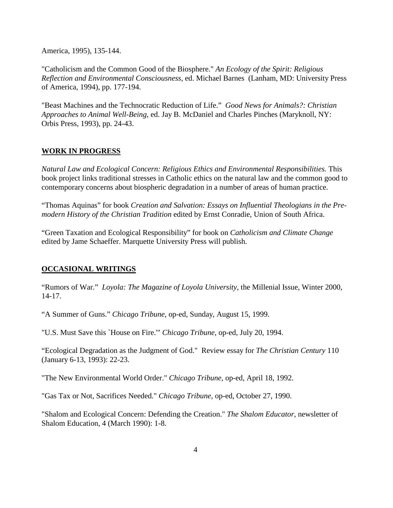America, 1995), 135-144.

"Catholicism and the Common Good of the Biosphere." *An Ecology of the Spirit: Religious Reflection and Environmental Consciousness,* ed. Michael Barnes (Lanham, MD: University Press of America, 1994), pp. 177-194.

"Beast Machines and the Technocratic Reduction of Life." *Good News for Animals?: Christian Approaches to Animal Well-Being*, ed. Jay B. McDaniel and Charles Pinches (Maryknoll, NY: Orbis Press, 1993), pp. 24-43.

# **WORK IN PROGRESS**

*Natural Law and Ecological Concern: Religious Ethics and Environmental Responsibilities.* This book project links traditional stresses in Catholic ethics on the natural law and the common good to contemporary concerns about biospheric degradation in a number of areas of human practice.

"Thomas Aquinas" for book *Creation and Salvation: Essays on Influential Theologians in the Premodern History of the Christian Tradition* edited by Ernst Conradie, Union of South Africa.

"Green Taxation and Ecological Responsibility" for book on *Catholicism and Climate Change* edited by Jame Schaeffer. Marquette University Press will publish.

# **OCCASIONAL WRITINGS**

"Rumors of War." *Loyola: The Magazine of Loyola University*, the Millenial Issue, Winter 2000, 14-17.

"A Summer of Guns." *Chicago Tribune*, op-ed, Sunday, August 15, 1999.

"U.S. Must Save this `House on Fire.'" *Chicago Tribune*, op-ed, July 20, 1994.

"Ecological Degradation as the Judgment of God." Review essay for *The Christian Century* 110 (January 6-13, 1993): 22-23.

"The New Environmental World Order." *Chicago Tribune*, op-ed, April 18, 1992.

"Gas Tax or Not, Sacrifices Needed." *Chicago Tribune*, op-ed, October 27, 1990.

"Shalom and Ecological Concern: Defending the Creation." *The Shalom Educator*, newsletter of Shalom Education, 4 (March 1990): 1-8.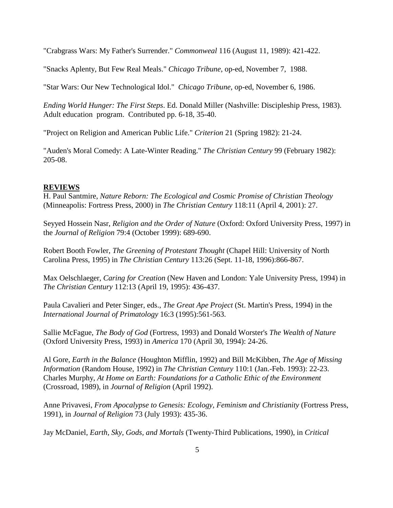"Crabgrass Wars: My Father's Surrender." *Commonweal* 116 (August 11, 1989): 421-422.

"Snacks Aplenty, But Few Real Meals." *Chicago Tribune*, op-ed, November 7, 1988.

"Star Wars: Our New Technological Idol." *Chicago Tribune*, op-ed, November 6, 1986.

*Ending World Hunger: The First Steps*. Ed. Donald Miller (Nashville: Discipleship Press, 1983). Adult education program. Contributed pp. 6-18, 35-40.

"Project on Religion and American Public Life." *Criterion* 21 (Spring 1982): 21-24.

"Auden's Moral Comedy: A Late-Winter Reading." *The Christian Century* 99 (February 1982): 205-08.

#### **REVIEWS**

H. Paul Santmire, *Nature Reborn: The Ecological and Cosmic Promise of Christian Theology* (Minneapolis: Fortress Press, 2000) in *The Christian Century* 118:11 (April 4, 2001): 27.

Seyyed Hossein Nasr, *Religion and the Order of Nature* (Oxford: Oxford University Press, 1997) in the *Journal of Religion* 79:4 (October 1999): 689-690.

Robert Booth Fowler, *The Greening of Protestant Thought* (Chapel Hill: University of North Carolina Press, 1995) in *The Christian Century* 113:26 (Sept. 11-18, 1996):866-867.

Max Oelschlaeger, *Caring for Creation* (New Haven and London: Yale University Press, 1994) in *The Christian Century* 112:13 (April 19, 1995): 436-437.

Paula Cavalieri and Peter Singer, eds., *The Great Ape Project* (St. Martin's Press, 1994) in the *International Journal of Primatology* 16:3 (1995):561-563.

Sallie McFague, *The Body of God* (Fortress, 1993) and Donald Worster's *The Wealth of Nature* (Oxford University Press, 1993) in *America* 170 (April 30, 1994): 24-26.

Al Gore, *Earth in the Balance* (Houghton Mifflin, 1992) and Bill McKibben, *The Age of Missing Information* (Random House, 1992) in *The Christian Century* 110:1 (Jan.-Feb. 1993): 22-23. Charles Murphy, *At Home on Earth: Foundations for a Catholic Ethic of the Environment* (Crossroad, 1989), in *Journal of Religion* (April 1992).

Anne Privavesi, *From Apocalypse to Genesis: Ecology, Feminism and Christianity* (Fortress Press, 1991), in *Journal of Religion* 73 (July 1993): 435-36.

Jay McDaniel, *Earth, Sky, Gods, and Mortals* (Twenty-Third Publications, 1990), in *Critical*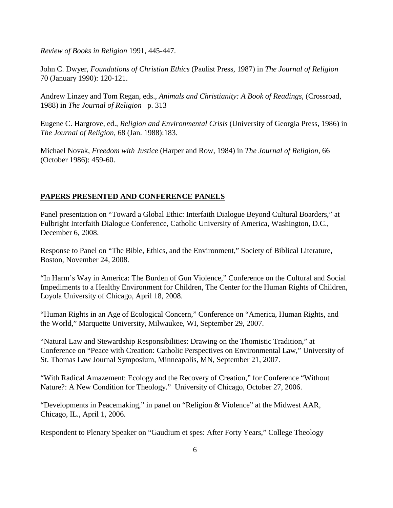*Review of Books in Religion* 1991, 445-447.

John C. Dwyer, *Foundations of Christian Ethics* (Paulist Press, 1987) in *The Journal of Religion* 70 (January 1990): 120-121.

Andrew Linzey and Tom Regan, eds., *Animals and Christianity: A Book of Readings*, (Crossroad, 1988) in *The Journal of Religion* p. 313

Eugene C. Hargrove, ed., *Religion and Environmental Crisis* (University of Georgia Press, 1986) in *The Journal of Religion*, 68 (Jan. 1988):183.

Michael Novak, *Freedom with Justice* (Harper and Row, 1984) in *The Journal of Religion*, 66 (October 1986): 459-60.

# **PAPERS PRESENTED AND CONFERENCE PANELS**

Panel presentation on "Toward a Global Ethic: Interfaith Dialogue Beyond Cultural Boarders," at Fulbright Interfaith Dialogue Conference, Catholic University of America, Washington, D.C., December 6, 2008.

Response to Panel on "The Bible, Ethics, and the Environment," Society of Biblical Literature, Boston, November 24, 2008.

"In Harm's Way in America: The Burden of Gun Violence," Conference on the Cultural and Social Impediments to a Healthy Environment for Children, The Center for the Human Rights of Children, Loyola University of Chicago, April 18, 2008.

"Human Rights in an Age of Ecological Concern," Conference on "America, Human Rights, and the World," Marquette University, Milwaukee, WI, September 29, 2007.

"Natural Law and Stewardship Responsibilities: Drawing on the Thomistic Tradition," at Conference on "Peace with Creation: Catholic Perspectives on Environmental Law," University of St. Thomas Law Journal Symposium, Minneapolis, MN, September 21, 2007.

"With Radical Amazement: Ecology and the Recovery of Creation," for Conference "Without Nature?: A New Condition for Theology." University of Chicago, October 27, 2006.

"Developments in Peacemaking," in panel on "Religion & Violence" at the Midwest AAR, Chicago, IL., April 1, 2006.

Respondent to Plenary Speaker on "Gaudium et spes: After Forty Years," College Theology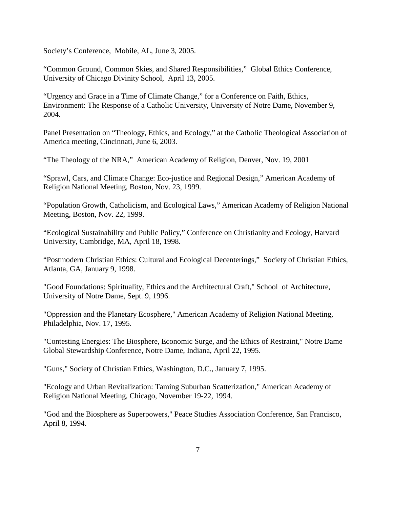Society's Conference, Mobile, AL, June 3, 2005.

"Common Ground, Common Skies, and Shared Responsibilities," Global Ethics Conference, University of Chicago Divinity School, April 13, 2005.

"Urgency and Grace in a Time of Climate Change," for a Conference on Faith, Ethics, Environment: The Response of a Catholic University, University of Notre Dame, November 9, 2004.

Panel Presentation on "Theology, Ethics, and Ecology," at the Catholic Theological Association of America meeting, Cincinnati, June 6, 2003.

"The Theology of the NRA," American Academy of Religion, Denver, Nov. 19, 2001

"Sprawl, Cars, and Climate Change: Eco-justice and Regional Design," American Academy of Religion National Meeting, Boston, Nov. 23, 1999.

"Population Growth, Catholicism, and Ecological Laws," American Academy of Religion National Meeting, Boston, Nov. 22, 1999.

"Ecological Sustainability and Public Policy," Conference on Christianity and Ecology, Harvard University, Cambridge, MA, April 18, 1998.

"Postmodern Christian Ethics: Cultural and Ecological Decenterings," Society of Christian Ethics, Atlanta, GA, January 9, 1998.

"Good Foundations: Spirituality, Ethics and the Architectural Craft," School of Architecture, University of Notre Dame, Sept. 9, 1996.

"Oppression and the Planetary Ecosphere," American Academy of Religion National Meeting, Philadelphia, Nov. 17, 1995.

"Contesting Energies: The Biosphere, Economic Surge, and the Ethics of Restraint," Notre Dame Global Stewardship Conference, Notre Dame, Indiana, April 22, 1995.

"Guns," Society of Christian Ethics, Washington, D.C., January 7, 1995.

"Ecology and Urban Revitalization: Taming Suburban Scatterization," American Academy of Religion National Meeting, Chicago, November 19-22, 1994.

"God and the Biosphere as Superpowers," Peace Studies Association Conference, San Francisco, April 8, 1994.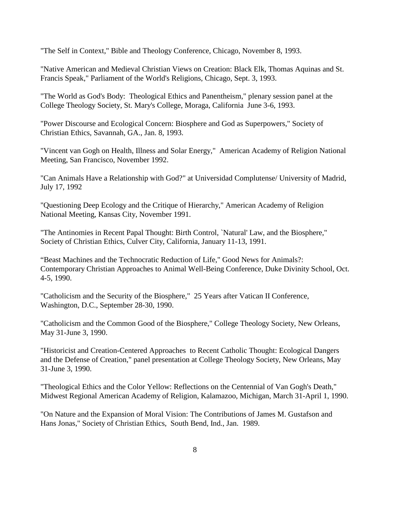"The Self in Context," Bible and Theology Conference, Chicago, November 8, 1993.

"Native American and Medieval Christian Views on Creation: Black Elk, Thomas Aquinas and St. Francis Speak," Parliament of the World's Religions, Chicago, Sept. 3, 1993.

"The World as God's Body: Theological Ethics and Panentheism," plenary session panel at the College Theology Society, St. Mary's College, Moraga, California June 3-6, 1993.

"Power Discourse and Ecological Concern: Biosphere and God as Superpowers," Society of Christian Ethics, Savannah, GA., Jan. 8, 1993.

"Vincent van Gogh on Health, Illness and Solar Energy," American Academy of Religion National Meeting, San Francisco, November 1992.

"Can Animals Have a Relationship with God?" at Universidad Complutense/ University of Madrid, July 17, 1992

"Questioning Deep Ecology and the Critique of Hierarchy," American Academy of Religion National Meeting, Kansas City, November 1991.

"The Antinomies in Recent Papal Thought: Birth Control, `Natural' Law, and the Biosphere," Society of Christian Ethics, Culver City, California, January 11-13, 1991.

"Beast Machines and the Technocratic Reduction of Life," Good News for Animals?: Contemporary Christian Approaches to Animal Well-Being Conference, Duke Divinity School, Oct. 4-5, 1990.

"Catholicism and the Security of the Biosphere," 25 Years after Vatican II Conference, Washington, D.C., September 28-30, 1990.

"Catholicism and the Common Good of the Biosphere," College Theology Society, New Orleans, May 31-June 3, 1990.

"Historicist and Creation-Centered Approaches to Recent Catholic Thought: Ecological Dangers and the Defense of Creation," panel presentation at College Theology Society, New Orleans, May 31-June 3, 1990.

"Theological Ethics and the Color Yellow: Reflections on the Centennial of Van Gogh's Death," Midwest Regional American Academy of Religion, Kalamazoo, Michigan, March 31-April 1, 1990.

"On Nature and the Expansion of Moral Vision: The Contributions of James M. Gustafson and Hans Jonas," Society of Christian Ethics, South Bend, Ind., Jan. 1989.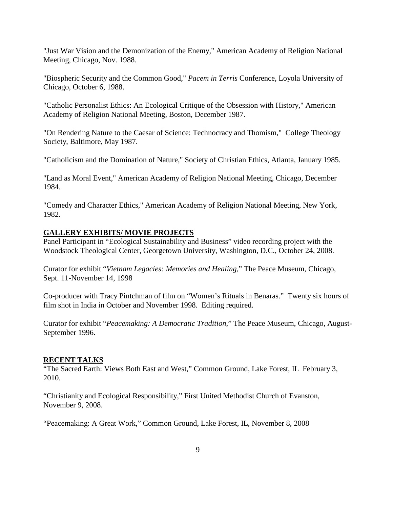"Just War Vision and the Demonization of the Enemy," American Academy of Religion National Meeting, Chicago, Nov. 1988.

"Biospheric Security and the Common Good," *Pacem in Terris* Conference, Loyola University of Chicago, October 6, 1988.

"Catholic Personalist Ethics: An Ecological Critique of the Obsession with History," American Academy of Religion National Meeting, Boston, December 1987.

"On Rendering Nature to the Caesar of Science: Technocracy and Thomism," College Theology Society, Baltimore, May 1987.

"Catholicism and the Domination of Nature," Society of Christian Ethics, Atlanta, January 1985.

"Land as Moral Event," American Academy of Religion National Meeting, Chicago, December 1984.

"Comedy and Character Ethics," American Academy of Religion National Meeting, New York, 1982.

# **GALLERY EXHIBITS/ MOVIE PROJECTS**

Panel Participant in "Ecological Sustainability and Business" video recording project with the Woodstock Theological Center, Georgetown University, Washington, D.C., October 24, 2008.

Curator for exhibit "*Vietnam Legacies: Memories and Healing*," The Peace Museum, Chicago, Sept. 11-November 14, 1998

Co-producer with Tracy Pintchman of film on "Women's Rituals in Benaras." Twenty six hours of film shot in India in October and November 1998. Editing required.

Curator for exhibit "*Peacemaking: A Democratic Tradition*," The Peace Museum, Chicago, August-September 1996.

# **RECENT TALKS**

"The Sacred Earth: Views Both East and West," Common Ground, Lake Forest, IL February 3, 2010.

"Christianity and Ecological Responsibility," First United Methodist Church of Evanston, November 9, 2008.

"Peacemaking: A Great Work," Common Ground, Lake Forest, IL, November 8, 2008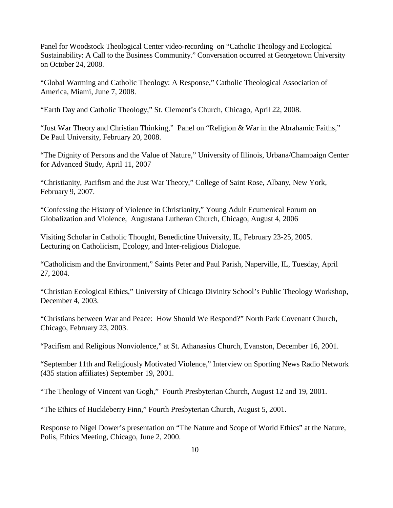Panel for Woodstock Theological Center video-recording on "Catholic Theology and Ecological Sustainability: A Call to the Business Community." Conversation occurred at Georgetown University on October 24, 2008.

"Global Warming and Catholic Theology: A Response," Catholic Theological Association of America, Miami, June 7, 2008.

"Earth Day and Catholic Theology," St. Clement's Church, Chicago, April 22, 2008.

"Just War Theory and Christian Thinking," Panel on "Religion & War in the Abrahamic Faiths," De Paul University, February 20, 2008.

"The Dignity of Persons and the Value of Nature," University of Illinois, Urbana/Champaign Center for Advanced Study, April 11, 2007

"Christianity, Pacifism and the Just War Theory," College of Saint Rose, Albany, New York, February 9, 2007.

"Confessing the History of Violence in Christianity," Young Adult Ecumenical Forum on Globalization and Violence, Augustana Lutheran Church, Chicago, August 4, 2006

Visiting Scholar in Catholic Thought, Benedictine University, IL, February 23-25, 2005. Lecturing on Catholicism, Ecology, and Inter-religious Dialogue.

"Catholicism and the Environment," Saints Peter and Paul Parish, Naperville, IL, Tuesday, April 27, 2004.

"Christian Ecological Ethics," University of Chicago Divinity School's Public Theology Workshop, December 4, 2003.

"Christians between War and Peace: How Should We Respond?" North Park Covenant Church, Chicago, February 23, 2003.

"Pacifism and Religious Nonviolence," at St. Athanasius Church, Evanston, December 16, 2001.

"September 11th and Religiously Motivated Violence," Interview on Sporting News Radio Network (435 station affiliates) September 19, 2001.

"The Theology of Vincent van Gogh," Fourth Presbyterian Church, August 12 and 19, 2001.

"The Ethics of Huckleberry Finn," Fourth Presbyterian Church, August 5, 2001.

Response to Nigel Dower's presentation on "The Nature and Scope of World Ethics" at the Nature, Polis, Ethics Meeting, Chicago, June 2, 2000.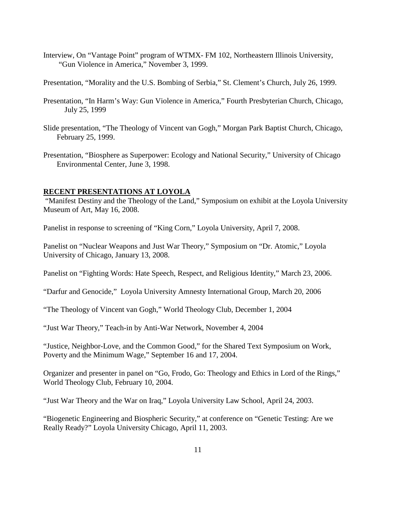Interview, On "Vantage Point" program of WTMX- FM 102, Northeastern Illinois University, "Gun Violence in America," November 3, 1999.

Presentation, "Morality and the U.S. Bombing of Serbia," St. Clement's Church, July 26, 1999.

- Presentation, "In Harm's Way: Gun Violence in America," Fourth Presbyterian Church, Chicago, July 25, 1999
- Slide presentation, "The Theology of Vincent van Gogh," Morgan Park Baptist Church, Chicago, February 25, 1999.
- Presentation, "Biosphere as Superpower: Ecology and National Security," University of Chicago Environmental Center, June 3, 1998.

#### **RECENT PRESENTATIONS AT LOYOLA**

"Manifest Destiny and the Theology of the Land," Symposium on exhibit at the Loyola University Museum of Art, May 16, 2008.

Panelist in response to screening of "King Corn," Loyola University, April 7, 2008.

Panelist on "Nuclear Weapons and Just War Theory," Symposium on "Dr. Atomic," Loyola University of Chicago, January 13, 2008.

Panelist on "Fighting Words: Hate Speech, Respect, and Religious Identity," March 23, 2006.

"Darfur and Genocide," Loyola University Amnesty International Group, March 20, 2006

"The Theology of Vincent van Gogh," World Theology Club, December 1, 2004

"Just War Theory," Teach-in by Anti-War Network, November 4, 2004

"Justice, Neighbor-Love, and the Common Good," for the Shared Text Symposium on Work, Poverty and the Minimum Wage," September 16 and 17, 2004.

Organizer and presenter in panel on "Go, Frodo, Go: Theology and Ethics in Lord of the Rings," World Theology Club, February 10, 2004.

"Just War Theory and the War on Iraq," Loyola University Law School, April 24, 2003.

"Biogenetic Engineering and Biospheric Security," at conference on "Genetic Testing: Are we Really Ready?" Loyola University Chicago, April 11, 2003.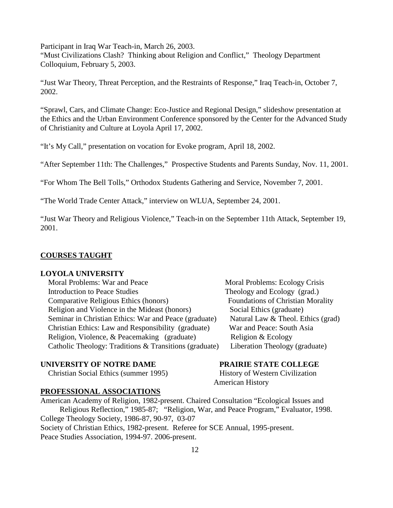Participant in Iraq War Teach-in, March 26, 2003. "Must Civilizations Clash? Thinking about Religion and Conflict," Theology Department Colloquium, February 5, 2003.

"Just War Theory, Threat Perception, and the Restraints of Response," Iraq Teach-in, October 7, 2002.

"Sprawl, Cars, and Climate Change: Eco-Justice and Regional Design," slideshow presentation at the Ethics and the Urban Environment Conference sponsored by the Center for the Advanced Study of Christianity and Culture at Loyola April 17, 2002.

"It's My Call," presentation on vocation for Evoke program, April 18, 2002.

"After September 11th: The Challenges," Prospective Students and Parents Sunday, Nov. 11, 2001.

"For Whom The Bell Tolls," Orthodox Students Gathering and Service, November 7, 2001.

"The World Trade Center Attack," interview on WLUA, September 24, 2001.

"Just War Theory and Religious Violence," Teach-in on the September 11th Attack, September 19, 2001.

### **COURSES TAUGHT**

## **LOYOLA UNIVERSITY**

Moral Problems: War and Peace Moral Problems: Ecology Crisis Introduction to Peace Studies Theology and Ecology (grad.) Comparative Religious Ethics (honors) Foundations of Christian Morality Religion and Violence in the Mideast (honors) Social Ethics (graduate) Seminar in Christian Ethics: War and Peace (graduate) Natural Law & Theol. Ethics (grad) Christian Ethics: Law and Responsibility (graduate) War and Peace: South Asia Religion, Violence, & Peacemaking (graduate) Religion & Ecology Catholic Theology: Traditions & Transitions (graduate) Liberation Theology (graduate)

# **UNIVERSITY OF NOTRE DAME PRAIRIE STATE COLLEGE**

Christian Social Ethics (summer 1995) History of Western Civilization

### **PROFESSIONAL ASSOCIATIONS**

American Academy of Religion, 1982-present. Chaired Consultation "Ecological Issues and Religious Reflection," 1985-87; "Religion, War, and Peace Program," Evaluator, 1998. College Theology Society, 1986-87, 90-97, 03-07 Society of Christian Ethics, 1982-present. Referee for SCE Annual, 1995-present. Peace Studies Association, 1994-97. 2006-present.

American History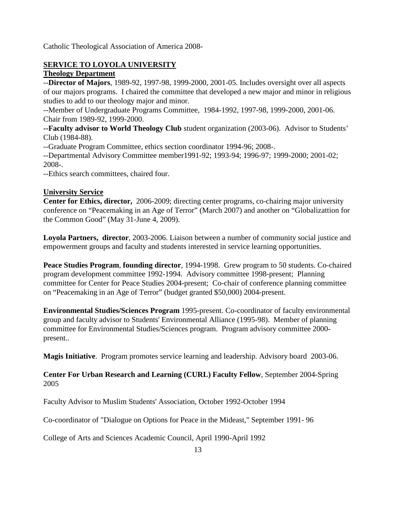Catholic Theological Association of America 2008-

# **SERVICE TO LOYOLA UNIVERSITY**

# **Theology Department**

--**Director of Majors**, 1989-92, 1997-98, 1999-2000, 2001-05. Includes oversight over all aspects of our majors programs. I chaired the committee that developed a new major and minor in religious studies to add to our theology major and minor.

--Member of Undergraduate Programs Committee, 1984-1992, 1997-98, 1999-2000, 2001-06. Chair from 1989-92, 1999-2000.

**--Faculty advisor to World Theology Club** student organization (2003-06). Advisor to Students' Club (1984-88).

--Graduate Program Committee, ethics section coordinator 1994-96; 2008-.

--Departmental Advisory Committee member1991-92; 1993-94; 1996-97; 1999-2000; 2001-02; 2008-.

--Ethics search committees, chaired four.

# **University Service**

**Center for Ethics, director,** 2006-2009; directing center programs, co-chairing major university conference on "Peacemaking in an Age of Terror" (March 2007) and another on "Globalizattion for the Common Good" (May 31-June 4, 2009).

**Loyola Partners, director**, 2003-2006. Liaison between a number of community social justice and empowerment groups and faculty and students interested in service learning opportunities.

**Peace Studies Program**, **founding director**, 1994-1998. Grew program to 50 students. Co-chaired program development committee 1992-1994. Advisory committee 1998-present; Planning committee for Center for Peace Studies 2004-present; Co-chair of conference planning committee on "Peacemaking in an Age of Terror" (budget granted \$50,000) 2004-present.

**Environmental Studies/Sciences Program** 1995-present. Co-coordinator of faculty environmental group and faculty advisor to Students' Environmental Alliance (1995-98). Member of planning committee for Environmental Studies/Sciences program. Program advisory committee 2000 present..

**Magis Initiative**. Program promotes service learning and leadership. Advisory board 2003-06.

# **Center For Urban Research and Learning (CURL) Faculty Fellow**, September 2004-Spring 2005

Faculty Advisor to Muslim Students' Association, October 1992-October 1994

Co-coordinator of "Dialogue on Options for Peace in the Mideast," September 1991- 96

College of Arts and Sciences Academic Council, April 1990-April 1992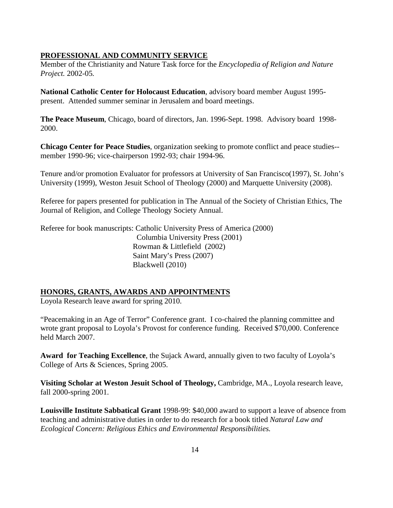### **PROFESSIONAL AND COMMUNITY SERVICE**

Member of the Christianity and Nature Task force for the *Encyclopedia of Religion and Nature Project.* 2002-05*.*

**National Catholic Center for Holocaust Education**, advisory board member August 1995 present. Attended summer seminar in Jerusalem and board meetings.

**The Peace Museum**, Chicago, board of directors, Jan. 1996-Sept. 1998. Advisory board 1998- 2000.

**Chicago Center for Peace Studies**, organization seeking to promote conflict and peace studies- member 1990-96; vice-chairperson 1992-93; chair 1994-96.

Tenure and/or promotion Evaluator for professors at University of San Francisco(1997), St. John's University (1999), Weston Jesuit School of Theology (2000) and Marquette University (2008).

Referee for papers presented for publication in The Annual of the Society of Christian Ethics, The Journal of Religion, and College Theology Society Annual.

Referee for book manuscripts: Catholic University Press of America (2000) Columbia University Press (2001) Rowman & Littlefield (2002) Saint Mary's Press (2007) Blackwell (2010)

# **HONORS, GRANTS, AWARDS AND APPOINTMENTS**

Loyola Research leave award for spring 2010.

"Peacemaking in an Age of Terror" Conference grant. I co-chaired the planning committee and wrote grant proposal to Loyola's Provost for conference funding. Received \$70,000. Conference held March 2007.

**Award for Teaching Excellence**, the Sujack Award, annually given to two faculty of Loyola's College of Arts & Sciences, Spring 2005.

**Visiting Scholar at Weston Jesuit School of Theology,** Cambridge, MA., Loyola research leave, fall 2000-spring 2001.

**Louisville Institute Sabbatical Grant** 1998-99: \$40,000 award to support a leave of absence from teaching and administrative duties in order to do research for a book titled *Natural Law and Ecological Concern: Religious Ethics and Environmental Responsibilities.*